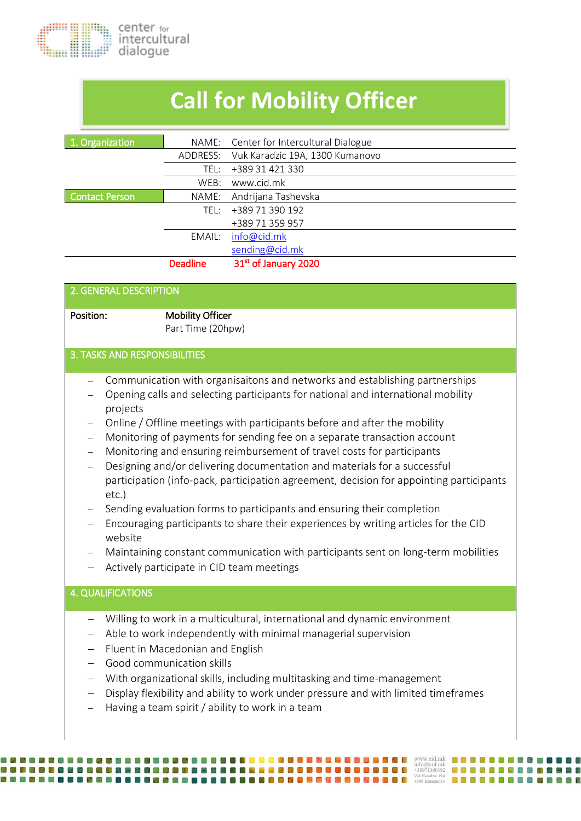## **Call for Mobility Officer**

| 1. Organization       |                 | NAME: Center for Intercultural Dialogue |
|-----------------------|-----------------|-----------------------------------------|
|                       | ADDRESS:        | Vuk Karadzic 19A, 1300 Kumanovo         |
|                       | TEL:            | +389 31 421 330                         |
|                       | WEB:            | www.cid.mk                              |
| <b>Contact Person</b> | NAME:           | Andrijana Tashevska                     |
|                       | TFI :-          | +389 71 390 192                         |
|                       |                 | +389 71 359 957                         |
|                       | EMAIL:          | info@cid.mk                             |
|                       |                 | sending@cid.mk                          |
|                       | <b>Deadline</b> | 31 <sup>st</sup> of January 2020        |
|                       |                 |                                         |

| 2. GENERAL DESCRIPTION        |                                              |
|-------------------------------|----------------------------------------------|
| Position:                     | <b>Mobility Officer</b><br>Part Time (20hpw) |
| 3. TASKS AND RESPONSIBILITIES |                                              |

- Communication with organisaitons and networks and establishing partnerships
- Opening calls and selecting participants for national and international mobility projects
- Online / Offline meetings with participants before and after the mobility
- Monitoring of payments for sending fee on a separate transaction account
- Monitoring and ensuring reimbursement of travel costs for participants
- Designing and/or delivering documentation and materials for a successful participation (info-pack, participation agreement, decision for appointing participants etc.)
- Sending evaluation forms to participants and ensuring their completion
- Encouraging participants to share their experiences by writing articles for the CID website
- Maintaining constant communication with participants sent on long-term mobilities
- Actively participate in CID team meetings

## 4. QUALIFICATIONS

- Willing to work in a multicultural, international and dynamic environment
- Able to work independently with minimal managerial supervision
- Fluent in Macedonian and English

**RRADORADERADO E** 网络复合体自合自

- Good communication skills
- With organizational skills, including multitasking and time-management
- Display flexibility and ability to work under pressure and with limited timeframes
- Having a team spirit / ability to work in a team